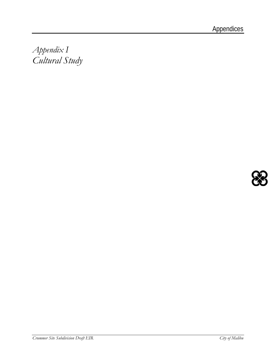*Appendix I Cultural Study* 

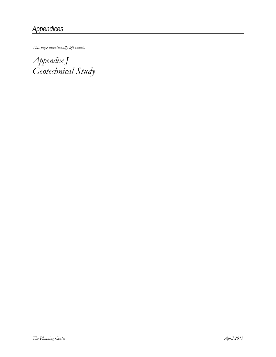*This page intentionally left blank.* 

*Appendix J Geotechnical Study*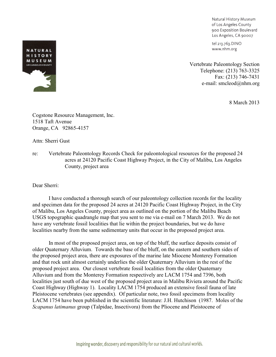Natural History Museum of Los Angeles County 900 Exposition Boulevard Los Angeles, CA 90007

tel 213.763.DINO www.nhm.org

Vertebrate Paleontology Section Telephone: (213) 763-3325 Fax: (213) 746-7431 e-mail: smcleod@nhm.org

8 March 2013



Cogstone Resource Management, Inc. 1518 Taft Avenue Orange, CA 92865-4157

Attn: Sherri Gust

re: Vertebrate Paleontology Records Check for paleontological resources for the proposed 24 acres at 24120 Pacific Coast Highway Project, in the City of Malibu, Los Angeles County, project area

Dear Sherri:

I have conducted a thorough search of our paleontology collection records for the locality and specimen data for the proposed 24 acres at 24120 Pacific Coast Highway Project, in the City of Malibu, Los Angeles County, project area as outlined on the portion of the Malibu Beach USGS topographic quadrangle map that you sent to me via e-mail on 7 March 2013. We do not have any vertebrate fossil localities that lie within the project boundaries, but we do have localities nearby from the same sedimentary units that occur in the proposed project area.

In most of the proposed project area, on top of the bluff, the surface deposits consist of older Quaternary Alluvium. Towards the base of the bluff, on the eastern and southern sides of the proposed project area, there are exposures of the marine late Miocene Monterey Formation and that rock unit almost certainly underlies the older Quaternary Alluvium in the rest of the proposed project area. Our closest vertebrate fossil localities from the older Quaternary Alluvium and from the Monterey Formation respectively are LACM 1754 and 7396, both localities just south of due west of the proposed project area in Malibu Riviera around the Pacific Coast Highway (Highway 1). Locality LACM 1754 produced an extensive fossil fauna of late Pleistocene vertebrates (see appendix). Of particular note, two fossil specimens from locality LACM 1754 have been published in the scientific literature: J.H. Hutchison (1987. Moles of the *Scapanus latimanus* group (Talpidae, Insectivora) from the Pliocene and Pleistocene of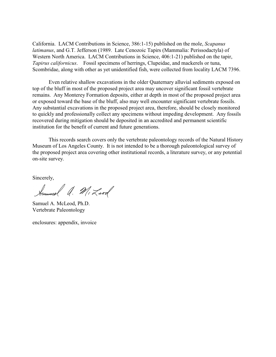California. LACM Contributions in Science, 386:1-15) published on the mole, *Scapanus latimanus*, and G.T. Jefferson (1989. Late Cenozoic Tapirs (Mammalia: Perissodactyla) of Western North America. LACM Contributions in Science, 406:1-21) published on the tapir, *Tapirus californicus*. Fossil specimens of herrings, Clupeidae, and mackerels or tuna, Scombridae, along with other as yet unidentified fish, were collected from locality LACM 7396.

Even relative shallow excavations in the older Quaternary alluvial sediments exposed on top of the bluff in most of the proposed project area may uncover significant fossil vertebrate remains. Any Monterey Formation deposits, either at depth in most of the proposed project area or exposed toward the base of the bluff, also may well encounter significant vertebrate fossils. Any substantial excavations in the proposed project area, therefore, should be closely monitored to quickly and professionally collect any specimens without impeding development. Any fossils recovered during mitigation should be deposited in an accredited and permanent scientific institution for the benefit of current and future generations.

This records search covers only the vertebrate paleontology records of the Natural History Museum of Los Angeles County. It is not intended to be a thorough paleontological survey of the proposed project area covering other institutional records, a literature survey, or any potential on-site survey.

Sincerely,

Summel A. MiLeod

Samuel A. McLeod, Ph.D. Vertebrate Paleontology

enclosures: appendix, invoice